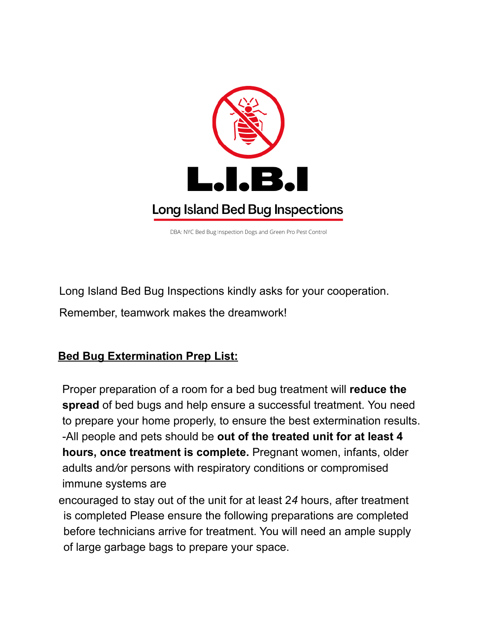

DBA: NYC Bed Bug Inspection Dogs and Green Pro Pest Control

Long Island Bed Bug Inspections kindly asks for your cooperation.

Remember, teamwork makes the dreamwork!

### **Bed Bug Extermination Prep List:**

Proper preparation of a room for a bed bug treatment will **reduce the spread** of bed bugs and help ensure a successful treatment. You need to prepare your home properly, to ensure the best extermination results. -All people and pets should be **out of the treated unit for at least 4 hours, once treatment is complete.** Pregnant women, infants, older adults and*/*or persons with respiratory conditions or compromised immune systems are

encouraged to stay out of the unit for at least 2*4* hours, after treatment is completed Please ensure the following preparations are completed before technicians arrive for treatment. You will need an ample supply of large garbage bags to prepare your space.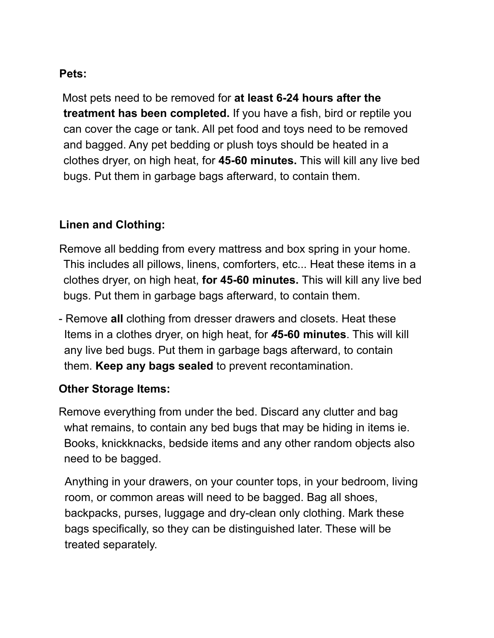### **Pets:**

Most pets need to be removed for **at least 6-24 hours after the treatment has been completed.** If you have a fish, bird or reptile you can cover the cage or tank. All pet food and toys need to be removed and bagged. Any pet bedding or plush toys should be heated in a clothes dryer, on high heat, for **45-60 minutes.** This will kill any live bed bugs. Put them in garbage bags afterward, to contain them.

### **Linen and Clothing:**

- Remove all bedding from every mattress and box spring in your home. This includes all pillows, linens, comforters, etc... Heat these items in a clothes dryer, on high heat, **for 45-60 minutes.** This will kill any live bed bugs. Put them in garbage bags afterward, to contain them.
- Remove **all** clothing from dresser drawers and closets. Heat these Items in a clothes dryer, on high heat, for *4***5-60 minutes**. This will kill any live bed bugs. Put them in garbage bags afterward, to contain them. **Keep any bags sealed** to prevent recontamination.

#### **Other Storage Items:**

Remove everything from under the bed. Discard any clutter and bag what remains, to contain any bed bugs that may be hiding in items ie. Books, knickknacks, bedside items and any other random objects also need to be bagged.

Anything in your drawers, on your counter tops, in your bedroom, living room, or common areas will need to be bagged. Bag all shoes, backpacks, purses, luggage and dry-clean only clothing. Mark these bags specifically, so they can be distinguished later. These will be treated separately.